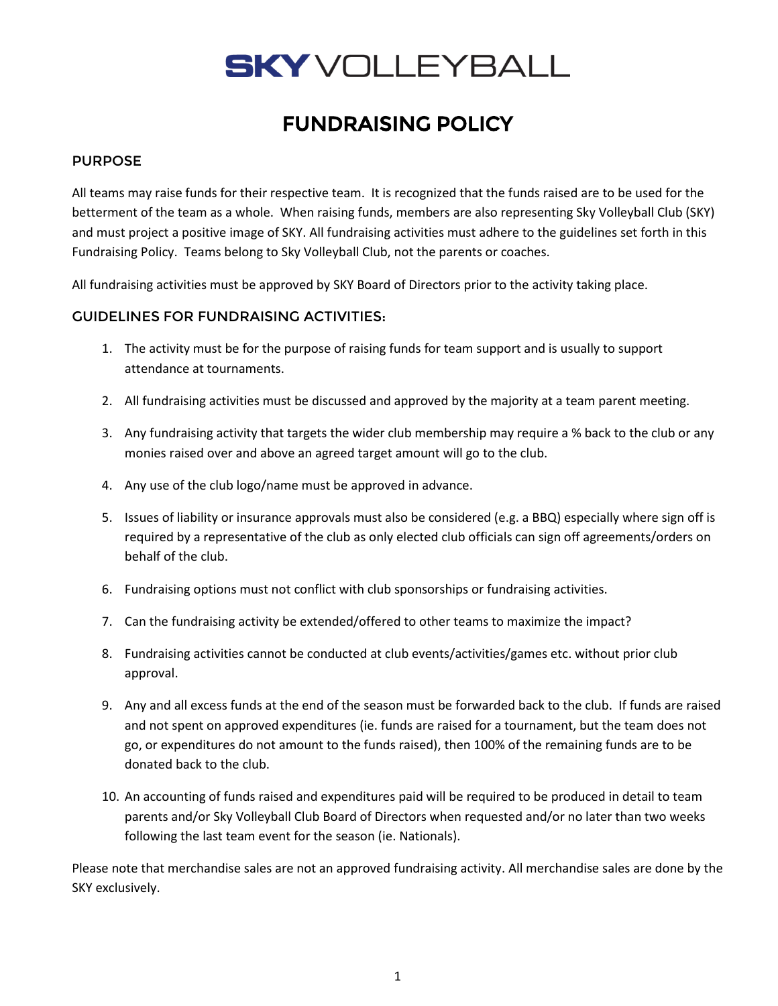# **SKY** VOLLEYBALL

# FUNDRAISING POLICY

# PURPOSE

All teams may raise funds for their respective team. It is recognized that the funds raised are to be used for the betterment of the team as a whole. When raising funds, members are also representing Sky Volleyball Club (SKY) and must project a positive image of SKY. All fundraising activities must adhere to the guidelines set forth in this Fundraising Policy. Teams belong to Sky Volleyball Club, not the parents or coaches.

All fundraising activities must be approved by SKY Board of Directors prior to the activity taking place.

### GUIDELINES FOR FUNDRAISING ACTIVITIES:

- 1. The activity must be for the purpose of raising funds for team support and is usually to support attendance at tournaments.
- 2. All fundraising activities must be discussed and approved by the majority at a team parent meeting.
- 3. Any fundraising activity that targets the wider club membership may require a % back to the club or any monies raised over and above an agreed target amount will go to the club.
- 4. Any use of the club logo/name must be approved in advance.
- 5. Issues of liability or insurance approvals must also be considered (e.g. a BBQ) especially where sign off is required by a representative of the club as only elected club officials can sign off agreements/orders on behalf of the club.
- 6. Fundraising options must not conflict with club sponsorships or fundraising activities.
- 7. Can the fundraising activity be extended/offered to other teams to maximize the impact?
- 8. Fundraising activities cannot be conducted at club events/activities/games etc. without prior club approval.
- 9. Any and all excess funds at the end of the season must be forwarded back to the club. If funds are raised and not spent on approved expenditures (ie. funds are raised for a tournament, but the team does not go, or expenditures do not amount to the funds raised), then 100% of the remaining funds are to be donated back to the club.
- 10. An accounting of funds raised and expenditures paid will be required to be produced in detail to team parents and/or Sky Volleyball Club Board of Directors when requested and/or no later than two weeks following the last team event for the season (ie. Nationals).

Please note that merchandise sales are not an approved fundraising activity. All merchandise sales are done by the SKY exclusively.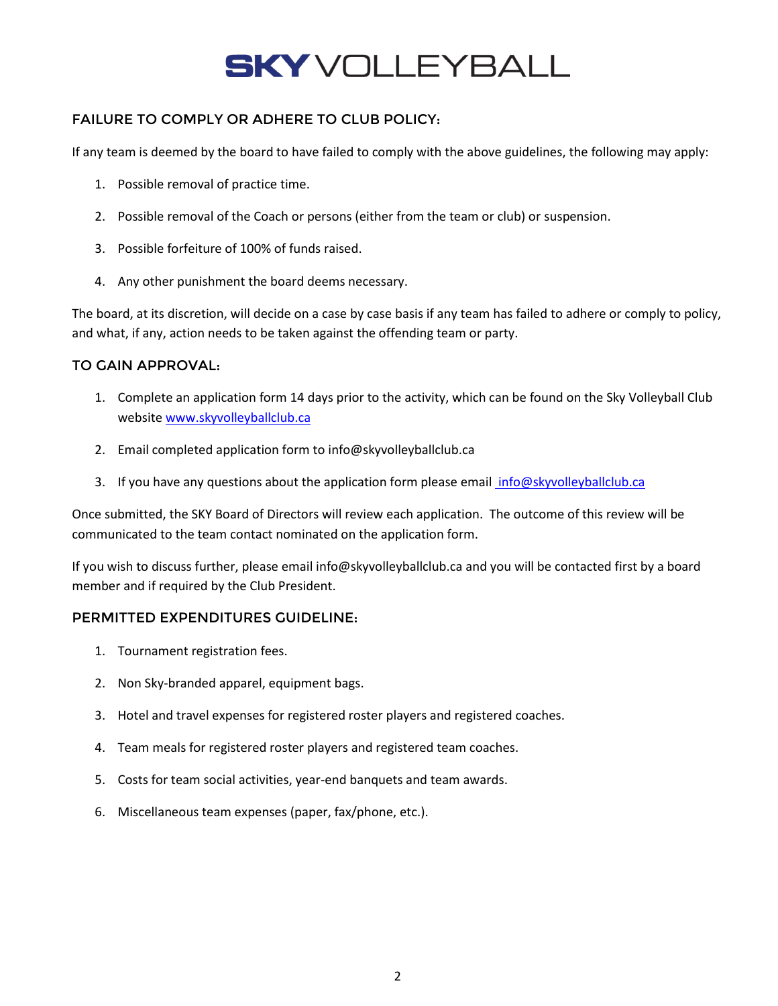# **SKY** VOLLEYBALL

# FAILURE TO COMPLY OR ADHERE TO CLUB POLICY:

If any team is deemed by the board to have failed to comply with the above guidelines, the following may apply:

- 1. Possible removal of practice time.
- 2. Possible removal of the Coach or persons (either from the team or club) or suspension.
- 3. Possible forfeiture of 100% of funds raised.
- 4. Any other punishment the board deems necessary.

The board, at its discretion, will decide on a case by case basis if any team has failed to adhere or comply to policy, and what, if any, action needs to be taken against the offending team or party.

### TO GAIN APPROVAL:

- 1. Complete an application form 14 days prior to the activity, which can be found on the Sky Volleyball Club website [www.skyvolleyballclub.ca](http://www.skyvolleyballclub.ca/)
- 2. Email completed application form to info@skyvolleyballclub.ca
- 3. If you have any questions about the application form please email info@skyvolleyballclub.ca

Once submitted, the SKY Board of Directors will review each application. The outcome of this review will be communicated to the team contact nominated on the application form.

If you wish to discuss further, please email info@skyvolleyballclub.ca and you will be contacted first by a board member and if required by the Club President.

### PERMITTED EXPENDITURES GUIDELINE:

- 1. Tournament registration fees.
- 2. Non Sky-branded apparel, equipment bags.
- 3. Hotel and travel expenses for registered roster players and registered coaches.
- 4. Team meals for registered roster players and registered team coaches.
- 5. Costs for team social activities, year-end banquets and team awards.
- 6. Miscellaneous team expenses (paper, fax/phone, etc.).